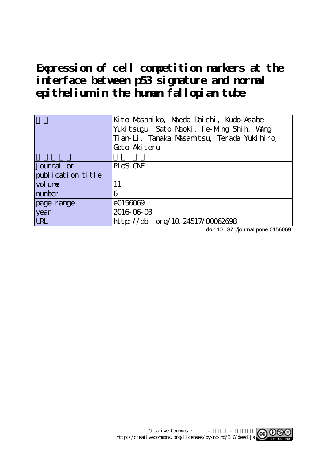**Expression of cell competition markers at the interface between p53 signature and normal epithelium in the human fallopian tube**

|                   | Kito Masahiko, Maeda Daichi, Kudo-Asabe<br>Yukitsugu, Sato Naoki, Ie-Ming Shih, Wang<br>Tian-Li, Tanaka Masamitsu, Terada Yukihiro,<br>Goto Akiteru |
|-------------------|-----------------------------------------------------------------------------------------------------------------------------------------------------|
|                   |                                                                                                                                                     |
| journal or        | PLOS ONE                                                                                                                                            |
| publication title |                                                                                                                                                     |
| vol une           | 11                                                                                                                                                  |
| number            | 6                                                                                                                                                   |
| page range        | e0156069                                                                                                                                            |
| year              | 2016-06-03                                                                                                                                          |
| <b>URL</b>        | http://doi.org/10.24517/00062698                                                                                                                    |

doi: 10.1371/journal.pone.0156069

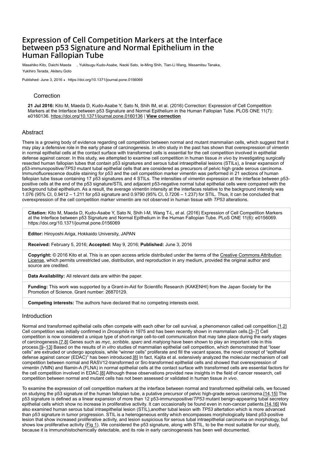# **Expression of Cell Competition Markers at the Interface between p53 Signature and Normal Epithelium in the Human Fallopian Tube**

Masahiko Kito, Daichi Maeda , Yukitsugu Kudo-Asabe, Naoki Sato, Ie-Ming Shih, Tian-Li Wang, Masamitsu Tanaka, Yukihiro Terada, Akiteru Goto

Published: June 3, 2016 · <https://doi.org/10.1371/journal.pone.0156069>

# **Correction**

**21 Jul 2016:** Kito M, Maeda D, Kudo-Asabe Y, Sato N, Shih IM, et al. (2016) Correction: Expression of Cell Competition Markers at the Interface between p53 Signature and Normal Epithelium in the Human Fallopian Tube. PLOS ONE 11(7): e0160136. <https://doi.org/10.1371/journal.pone.0160136> | **[View correction](https://journals.plos.org/plosone/article?id=10.1371/journal.pone.0160136)**

# Abstract

There is a growing body of evidence regarding cell competition between normal and mutant mammalian cells, which suggest that it may play a defensive role in the early phase of carcinogenesis. *In vitro* study in the past has shown that overexpression of vimentin in normal epithelial cells at the contact surface with transformed cells is essential for the cell competition involved in epithelial defense against cancer. In this study, we attempted to examine cell competition in human tissue *in vivo* by investigating surgically resected human fallopian tubes that contain p53 signatures and serous tubal intraepithelial lesions (STILs), a linear expansion of p53-immunopositive/*TP53* mutant tubal epithelial cells that are considered as precursors of pelvic high grade serous carcinoma. Immunofluorescence double staining for p53 and the cell competition marker vimentin was performed in 21 sections of human fallopian tube tissue containing 17 p53 signatures and 4 STILs. The intensities of vimentin expression at the interface between p53 positive cells at the end of the p53 signature/STIL and adjacent p53-negative normal tubal epithelial cells were compared with the background tubal epithelium. As a result, the average vimentin intensity at the interfaces relative to the background intensity was 1.076 (95% CI, 0.9412 – 1.211 for p53 signature and 0.9790 (95% CI, 0.7206 – 1.237) for STIL. Thus, it can be concluded that overexpression of the cell competition marker vimentin are not observed in human tissue with *TP53* alterations.

**Citation:** Kito M, Maeda D, Kudo-Asabe Y, Sato N, Shih I-M, Wang T-L, et al. (2016) Expression of Cell Competition Markers at the Interface between p53 Signature and Normal Epithelium in the Human Fallopian Tube. PLoS ONE 11(6): e0156069. https://doi.org/10.1371/journal.pone.0156069

**Editor:** Hiroyoshi Ariga, Hokkaido University, JAPAN

**Received:** February 5, 2016; **Accepted:** May 9, 2016; **Published:** June 3, 2016

**Copyright:** © 2016 Kito et al. This is an open access article distributed under the terms of the Creative Commons Attribution [License, which permits unrestricted use, distribution, and reproduction in any medium, provided the original author and](http://creativecommons.org/licenses/by/4.0/) source are credited.

**Data Availability:** All relevant data are within the paper.

**Funding:** This work was supported by a Grant-in-Aid for Scientific Research (KAKENHI) from the Japan Society for the Promotion of Science. Grant number: 26870129.

**Competing interests:** The authors have declared that no competing interests exist.

# Introduction

Normal and transformed epithelial cells often compete with each other for cell survival, a phenomenon called cell competition.[[1,](#page-4-0)[2\]](#page-4-1) Cell competition was initially confirmed in *Drosophila* in 1975 and has been recently shown in mammalian cells.[\[3](#page-4-2)–[7](#page-4-3)] Cell competition is now considered a unique type of short-range cell-to-cell communication that may take place during the early stages of carcinogenesis.[\[7](#page-4-3)[,8\]](#page-4-4) Genes such as *myc*, *scribble*, *sparc* and *mahjong* have been shown to play an important role in this process.[\[9](#page-4-5)[–13\]](#page-5-0) Based on the results of *in vitro* studies of mammalian epithelial cell competition, which demonstrated that "loser cells" are extruded or undergo apoptosis, while "winner cells" proliferate and fill the vacant spaces, the novel concept of "epithelial defense against cancer (EDAC)" has been introduced.[\[8\]](#page-4-4) In fact, Kajita et al. extensively analyzed the molecular mechanism of cell competition between normal and RASV12-transformed or Src-transformed epithelial cells and showed that overexpression of vimentin (VMN) and filamin-A (FLNA) in normal epithelial cells at the contact surface with transformed cells are essential factors for the cell competition involved in EDAC.[\[8](#page-4-4)] Although these observations provided new insights in the field of cancer research, cell competition between normal and mutant cells has not been assessed or validated in human tissue *in vivo*.

<span id="page-1-0"></span>To examine the expression of cell competition markers at the interface between normal and transformed epithelial cells, we focused on studying the p53 signature of the human fallopian tube, a putative precursor of pelvic high-grade serous carcinoma.[[14,](#page-5-1)[15](#page-5-2)] The p53 signature is defined as a linear expansion of more than 12 p53-immunopositive/*TP53* mutant benign-appearing tubal secretory epithelial cells which show no increase in proliferative activity. It can occasionally be found even in non-cancer patients.[[14](#page-5-1)[,16\]](#page-5-3) We also examined human serous tubal intraepithelial lesion (STIL),another tubal lesion with *TP53* altertation which is more advanced than p53 signature in tumor progression. STIL is a heterogeneous entity which encompasses morphologically bland p53-positive lesion that show increased proliferative activity, and lesion suspicious for serous tubal intraepithelial carcinoma on morphology, but shows low proliferative activity ([Fig 1](#page-1-0)). We considered the p53 signature, along with STIL, to be the most suitable for our study, because it is immunohistochemically detectable, and its role in early carcinogenesis has been well documented.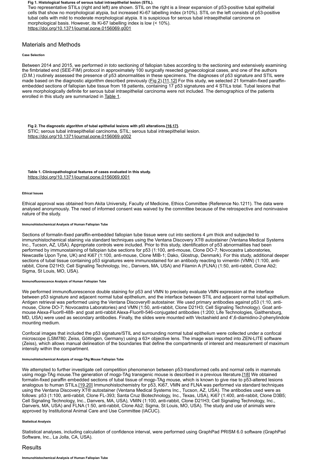#### **Fig 1. Histological features of serous tubal intraepithelial lesion (STIL).**

Two representative STILs (right and left) are shown. STIL on the right is a linear expansion of p53-positive tubal epithelial cells that show no morphological atypia, but increased Ki-67 labelling index (≥10%). STIL on the left consists of p53-positive tubal cells with mild to moderate morphological atypia. It is suspicious for serous tubal intraepithelial carcinoma on morphological basis. However, its Ki-67 labelling index is low (< 10%). <https://doi.org/10.1371/journal.pone.0156069.g001>

# Materials and Methods

### **Case Selection**

Between 2014 and 2015, we performed *in toto* sectioning of fallopian tubes according to the sectioning and extensively examining the fimbriated end (SEE-FIM) protocol in approximately 100 surgically resected gynaecological cases, and one of the authors (D.M.) routinely assessed the presence of p53 abnormalities in these specimens. The diagnoses of p53 signature and STIL were made based on the diagnostic algorithm described previously [\(Fig 2\)](#page-2-0).[\[11](#page-5-4)[,12\]](#page-5-5) For this study, we selected 21 formalin-fixed paraffinembedded sections of fallopian tube tissue from 18 patients, containing 17 p53 signatures and 4 STILs total. Tubal lesions that were morphologically definite for serous tubal intraepithelial carcinoma were not included. The demographics of the patients enrolled in this study are summarized in [Table 1](#page-2-1).

<span id="page-2-0"></span>**Fig 2. The diagnostic algorithm of tubal epithelial lesions with p53 alterations.[[16](#page-5-3),[17\]](#page-5-6).** STIC; serous tubal intraepithelial carcinoma, STIL; serous tubal intraepithelial lesion. <https://doi.org/10.1371/journal.pone.0156069.g002>

<span id="page-2-1"></span>**Table 1. Clinicopathological features of cases evaluated in this study.** <https://doi.org/10.1371/journal.pone.0156069.t001>

#### **Ethical Issues**

Ethical approval was obtained from Akita University, Faculty of Medicine, Ethics Committee (Reference No.1211). The data were analysed anonymously. The need of informed consent was waived by the committee because of the retrospective and noninvasive nature of the study.

#### **Immunohistochemical Analysis of Human Fallopian Tube**

Sections of formalin-fixed paraffin-embedded fallopian tube tissue were cut into sections 4 μm thick and subjected to immunohistochemical staining via standard techniques using the Ventana Discovery XT® autostainer (Ventana Medical Systems Inc., Tucson, AZ, USA). Appropriate controls were included. Prior to this study, identification of p53 abnormalities had been performed by immunostaining of fallopian tube sections for p53 (1:100, anti-mouse, Clone DO-7; Novocastra Laboratories, Newcastle Upon Tyne, UK) and Ki67 (1:100, anti-mouse, Clone MIB-1; Dako, Glostrup, Denmark). For this study, additional deeper sections of tubal tissue containing p53 signatures were immunostained for an antibody reacting to vimentin (VMN) (1:100, antirabbit, Clone D21H3; Cell Signaling Technology, Inc., Danvers, MA, USA) and Filamin A (FLNA) (1:50, anti-rabbit, Clone Ab2; Sigma, St Louis, MO, USA).

#### **Immunofluorescence Analysis of Human Fallopian Tube**

We performed immunofluorescence double staining for p53 and VMN to precisely evaluate VMN expression at the interface between p53 signature and adjacent normal tubal epithelium, and the interface between STIL and adjacent normal tubal epithelium. Antigen retrieval was performed using the Ventana Discovery® autostainer. We used primary antibodies against p53 (1:10, antimouse, Clone DO-7; Novocastra Laboratories) and VMN (1:50, anti-rabbit, Clone D21H3; Cell Signaling Technology). Goat antimouse Alexa-Fluor®-488- and goat anti-rabbit Alexa-Fluor®-546-conjugated antibodies (1:200; Life Technologies, Gaithersburg, MD, USA) were used as secondary antibodies. Finally, the slides were mounted with Vectashield and 4',6-diamidino-2-phenylindole mounting medium.

Confocal images that included the p53 signature/STIL and surrounding normal tubal epithelium were collected under a confocal microscope (LSM780; Zeiss, Göttingen, Germany) using a 63× objective lens. The image was imported into ZEN-LITE software (Zeiss), which allows manual delineation of the boundaries that define the compartments of interest and measurement of maximum intensity within the compartment.

#### **Immunohistochemical Analysis of mogp-TAg Mouse Fallopian Tube**

We attempted to further investigate cell competition phenomenon between p53-transformed cells and normal cells in mammals using mogp-TAg mouse.The generation of mogp-TAg transgenic mouse is described in a previous literature.[\[18\]](#page-5-7) We obtained formalin-fixed paraffin embedded sections of tubal tissue of mogp-TAg mouse, which is known to give rise to p53-altered lesions analogous to human STILs.[\[19](#page-5-8),[20](#page-5-9)] Immunohistochemistry for p53, Ki67, VMN and FLNA was performed via standard techniques using the Ventana Discovery XT® autostainer (Ventana Medical Systems Inc., Tucson, AZ, USA). The antibodies used were as follows: p53 (1:100, anti-rabbit, Clone FL-393; Santa Cruz Biotechnology, Inc., Texas, USA), Ki67 (1:400, anti-rabbit, Clone D3B5; Cell Signaling Technology, Inc., Danvers, MA, USA), VMIN (1:100, anti-rabbit, Clone D21H3; Cell Signaling Technology, Inc., Danvers, MA, USA) and FLNA (1:50, anti-rabbit, Clone Ab2; Sigma, St Louis, MO, USA). The study and use of animals were approved by Institutional Animal Care and Use Committee (IACUC).

#### **Statistical Analysis**

Statistical analyses, including calculation of confidence interval, were performed using GraphPad PRISM 6.0 software (GraphPad Software, Inc., La Jolla, CA, USA).

# **Results**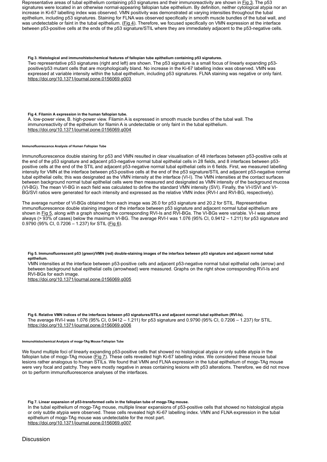Representative areas of tubal epithelium containing p53 signatures and their immunoreactivity are shown in [Fig 3](#page-3-0). The p53 signatures were located in an otherwise normal-appearing fallopian tube epithelium. By definition, neither cytological atypia nor an increase in Ki-67 labelling index was observed. VMN positivity was demonstrated at varying intensities throughout the tubal epithelium, including p53 signatures. Staining for FLNA was observed specifically in smooth muscle bundles of the tubal wall, and was undetectable or faint in the tubal epithelium. ( $Fig 4$ ). Therefore, we focused specifically on VMN expression at the interface between p53-positive cells at the ends of the p53 signature/STIL where they are immediately adjacent to the p53-negative cells.

#### <span id="page-3-0"></span>**Fig 3. Histological and immunohistochemical features of fallopian tube epithelium containing p53 signatures.**

Two representative p53 signatures (right and left) are shown. The p53 signature is a small focus of linearly expanding p53 positive/p53 mutant cells that are morphologically bland. No increase in the Ki-67 labelling index was observed. VMN was expressed at variable intensity within the tubal epithelium, including p53 signatures. FLNA staining was negative or only faint. <https://doi.org/10.1371/journal.pone.0156069.g003>

#### <span id="page-3-1"></span>**Fig 4. Filamin A expression in the human fallopian tube.**

A. low-power view, B. high-power view. Filamin A is expressed in smooth muscle bundles of the tubal wall. The immunoreactivity of the epithelium for filamin A is undetectable or only faint in the tubal epithelium. <https://doi.org/10.1371/journal.pone.0156069.g004>

#### **Immunofluorescence Analysis of Human Fallopian Tube**

Immunofluorescence double staining for p53 and VMN resulted in clear visualisation of 48 interfaces between p53-positive cells at the end of the p53 signature and adjacent p53-negative normal tubal epithelial cells in 28 fields, and 8 interfaces between p53 positive cells at the end of the STIL and adjacent p53-negative normal tubal epithelial cells in 6 fields. First, we measured labelling intensity for VMN at the interface between p53-positive cells at the end of the p53 signature/STIL and adjacent p53-negative normal tubal epithelial cells; this was designated as the VMN intensity at the interface (VI-I). The VMN intensities at the contact surfaces between background normal tubal epithelial cells were then measured and designated as VMN intensity of the background mucosa (VI-BG). The mean VI-BG in each field was calculated to define the standard VMN intensity (SVI). Finally, the VI-I/SVI and VI-BG/SVI ratios were generated for each intensity and expressed as the relative VMN index (RVI-I and RVI-BG, respectively).

The average number of VI-BGs obtained from each image was 26.0 for p53 signature and 20.2 for STIL. Representative immunofluorescence double staining images of the interface between p53 signature and adjacent normal tubal epithelium are shown in [Fig 5,](#page-3-2) along with a graph showing the corresponding RVI-Is and RVI-BGs. The VI-BGs were variable. VI-I was almost always (> 93% of cases) below the maximum VI-BG. The average RVI-I was 1.076 (95% CI, 0.9412 – 1.211) for p53 signature and 0.9790 (95% CI, 0.7206 – 1.237) for STIL ( $\underline{Fig 6}$  $\underline{Fig 6}$  $\underline{Fig 6}$ ).

<span id="page-3-2"></span>**Fig 5. Immunofluorescent p53 (green)/VMN (red) double-staining images of the interface between p53 signature and adjacent normal tubal epithelium.**

VMN intensities at the interface between p53-positive cells and adjacent p53-negative normal tubal epithelial cells (arrow) and between background tubal epithelial cells (arrowhead) were measured. Graphs on the right show corresponding RVI-Is and RVI-BGs for each image.

<span id="page-3-3"></span><https://doi.org/10.1371/journal.pone.0156069.g005>

**Fig 6. Relative VMN indices of the interfaces between p53 signatures/STILs and adjacent normal tubal epithelium (RVI-Is).** The average RVI-I was 1.076 (95% CI, 0.9412 – 1.211) for p53 signature and 0.9790 (95% CI, 0.7206 – 1.237) for STIL. <https://doi.org/10.1371/journal.pone.0156069.g006>

#### **Immunohistochemical Analysis of mogp-TAg Mouse Fallopian Tube**

We found multiple foci of linearly expanding p53-positive cells that showed no histological atypia or only subtle atypia in the fallopian tube of mogp-TAg mouse [\(Fig 7\)](#page-3-4). These cells revealed high Ki-67 labelling index. We considered these mouse tubal lesions rather analogous to human STILs. We found that VMN and FLNA expression in the tubal epithelium of mogp-TAg mouse were very focal and patchy. They were mostly negative in areas containing lesions with p53 alterations. Therefore, we did not move on to perform immunofluorescence analyses of the interfaces.

<span id="page-3-4"></span>**Fig 7. Linear expansion of p53-transformed cells in the fallopian tube of mogp-TAg mouse.**

In the tubal epithelium of mogp-TAg mouse, multiple linear expansions of p53-positive cells that showed no histological atypia or only subtle atypia were observed. These cells revealed high Ki-67 labelling index. VMN and FLNA expression in the tubal epithelium of mogp-TAg mouse was undetectable for the most part. <https://doi.org/10.1371/journal.pone.0156069.g007>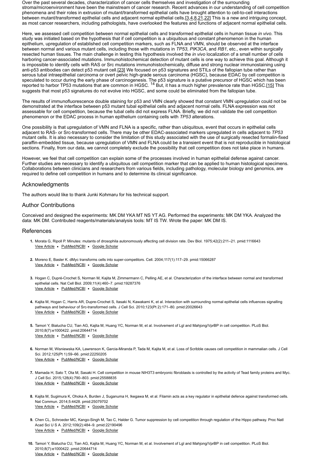Over the past several decades, characterization of cancer cells themselves and investigation of the surrounding stroma/microenvironment have been the mainstream of cancer research. Recent advances in our understanding of cell competition phenomena and their roles in extrusion of mutant/transformed epithelial cells have brought attention to cell-to-cell interactions between mutant/transformed epithelial cells and adjacent normal epithelial cells.[[3](#page-4-2),[4](#page-4-6)[,8](#page-4-4),[21](#page-5-10)[,22\]](#page-5-11) This is a new and intriguing concept, as most cancer researchers, including pathologists, have overlooked the features and functions of adjacent normal epithelial cells.

Here, we assessed cell competition between normal epithelial cells and transformed epithelial cells in human tissue *in vivo*. This study was initiated based on the hypothesis that if cell competition is a ubiquitous and constant phenomenon in the human epithelium, upregulation of established cell competition markers, such as FLNA and VMN, should be observed at the interface between normal and various mutant cells, including those with mutations in *TP53*, *PIK3CA*, and *RB1*, etc., even within surgically resected human tissues. The main challenge in testing this hypothesis involved the *in vivo* localization of a small number of cells harboring cancer-associated mutations. Immunohistochemical detection of mutant cells is one way to achieve this goal. Although it is impossible to identify cells with RAS or Src mutations immunohistochemically, diffuse and strong nuclear immunostaining using anti-p53 antibodies can detect p53 mutant cell.[\[23\]](#page-5-12) We focused on p53 signatures and STILs of the fallopian tube rather than serous tubal intraepithelial carcinoma or overt pelvic high-grade serous carcinoma (HGSC), because EDAC by cell competition is speculated to occur during the early phase of carcinogenesis. The p53 signature is a putative precursor of HGSC which has been  $\alpha$  reported to harbor TP53 mutations that are common in HGSC.  $^{14}$  But, it has a much higher prevalence rate than HGSC.[<u>15]</u> This suggests that most p53 signatures do not evolve into HGSC, and some could be eliminated from the fallopian tube.

The results of immunofluorescence double staining for p53 and VMN clearly showed that constant VMN upregulation could not be demonstrated at the interface between p53 mutant tubal epithelial cells and adjacent normal cells. FLNA expression was not assessable for cell competition, because the tubal cells did not express FLNA. Briefly, we did not validate the cell competition phenomenon or the EDAC process in human epithelium containing cells with *TP53* alterations.

One possibility is that upregulation of VMN and FLNA is a specific, rather than ubiquitous, event that occurs in epithelial cells adjacent to RAS- or Src-transformed cells. There may be other EDAC-associated markers upregulated in cells adjacent to *TP53* mutant cells. It is also necessary to consider the limitation of this study associated with the use of surgically resected formalin-fixed paraffin-embedded tissue, because upregulation of VMN and FLNA could be a transient event that is not reproducible in histological sections. Finally, from our data, we cannot completely exclude the possibility that cell competition does not take place in humans.

However, we feel that cell competition can explain some of the processes involved in human epithelial defense against cancer. Further studies are necessary to identify a ubiquitous cell competition marker that can be applied to human histological specimens. Collaborations between clinicians and researchers from various fields, including pathology, molecular biology and genomics, are required to define cell competition in humans and to determine its clinical significance.

# Acknowledgments

The authors would like to thank Junki Kohmaru for his technical support.

# Author Contributions

Conceived and designed the experiments: MK DM YKA MT NS YT AG. Performed the experiments: MK DM YKA. Analyzed the data: MK DM. Contributed reagents/materials/analysis tools: MT IS TW. Wrote the paper: MK DM IS.

### References

- <span id="page-4-0"></span>**1.** Morata G, Ripoll P. Minutes: mutants of drosophila autonomously affecting cell division rate. Dev Biol. 1975;42(2):211–21. pmid:1116643 View Article . [PubMed/NCBI](http://www.ncbi.nlm.nih.gov/pubmed/1116643) . [Google Scholar](http://scholar.google.com/scholar?q=Minutes%3A+mutants+of+drosophila+autonomously+affecting+cell+division+rate+Morata+1975)
- <span id="page-4-1"></span>**2.** Moreno E, Basler K. dMyc transforms cells into super-competitors. Cell. 2004;117(1):117–29. pmid:15066287 View Article . [PubMed/NCBI](http://www.ncbi.nlm.nih.gov/pubmed/15066287) . [Google Scholar](http://scholar.google.com/scholar?q=dMyc+transforms+cells+into+super-competitors+Moreno+2004)
- <span id="page-4-2"></span>**3.** Hogan C, Dupré-Crochet S, Norman M, Kajita M, Zimmermann C, Pelling AE, et al. Characterization of the interface between normal and transformed [View Article](https://doi.org/10.1038/ncb1853) · [PubMed/NCBI](http://www.ncbi.nlm.nih.gov/pubmed/19287376) · [Google Scholar](http://scholar.google.com/scholar?q=Characterization+of+the+interface+between+normal+and+transformed+epithelial+cells+Hogan+2009) epithelial cells. Nat Cell Biol. 2009;11(4):460–7. pmid:19287376
- <span id="page-4-6"></span>**4.** Kajita M, Hogan C, Harris AR, Dupre-Crochet S, Itasaki N, Kawakami K, et al. Interaction with surrounding normal epithelial cells influences signalling [View Article](https://doi.org/10.1242/jcs.057976) . [PubMed/NCBI](http://www.ncbi.nlm.nih.gov/pubmed/20026643) . [Google Scholar](http://scholar.google.com/scholar?q=Interaction+with+surrounding+normal+epithelial+cells+influences+signalling+pathways+and+behaviour+of+Src-transformed+cells+Kajita+2010) pathways and behaviour of Src-transformed cells. J Cell Sci. 2010;123(Pt 2):171–80. pmid:20026643
- **5.** Tamori Y, Bialucha CU, Tian AG, Kajita M, Huang YC, Norman M, et al. Involvement of Lgl and Mahjong/VprBP in cell competition. PLoS Biol. [View Article](https://doi.org/10.1371/journal.pbio.1000422) . [PubMed/NCBI](http://www.ncbi.nlm.nih.gov/pubmed/20644714) . [Google Scholar](http://scholar.google.com/scholar?q=Involvement+of+Lgl+and+Mahjong%2FVprBP+in+cell+competition+Tamori+2010) 2010;8(7):e1000422. pmid:20644714
- **6.** Norman M, Wisniewska KA, Lawrenson K, Garcia-Miranda P, Tada M, Kajita M, et al. Loss of Scribble causes cell competition in mammalian cells. J Cell [View Article](https://doi.org/10.1242/jcs.085803) · [PubMed/NCBI](http://www.ncbi.nlm.nih.gov/pubmed/22250205) · [Google Scholar](http://scholar.google.com/scholar?q=Loss+of+Scribble+causes+cell+competition+in+mammalian+cells+Norman+2012) Sci. 2012;125(Pt 1):59–66. pmid:22250205
- <span id="page-4-3"></span>**7.** Mamada H, Sato T, Ota M, Sasaki H. Cell competition in mouse NIH3T3 embryonic fibroblasts is controlled by the activity of Tead family proteins and Myc. [View Article](https://doi.org/10.1242/jcs.163675) . [PubMed/NCBI](http://www.ncbi.nlm.nih.gov/pubmed/25588835) . [Google Scholar](http://scholar.google.com/scholar?q=Cell+competition+in+mouse+NIH3T3+embryonic+fibroblasts+is+controlled+by+the+activity+of+Tead+family+proteins+and+Myc+Mamada+2015) J Cell Sci. 2015;128(4):790–803. pmid:25588835
- <span id="page-4-4"></span>**8.** Kajita M, Sugimura K, Ohoka A, Burden J, Suganuma H, Ikegawa M, et al. Filamin acts as a key regulator in epithelial defence against transformed cells. [View Article](https://doi.org/10.1038/ncomms5428) • [PubMed/NCBI](http://www.ncbi.nlm.nih.gov/pubmed/25079702) • [Google Scholar](http://scholar.google.com/scholar?q=Filamin+acts+as+a+key+regulator+in+epithelial+defence+against+transformed+cells+Kajita+2014) Nat Commun. 2014;5:4428. pmid:25079702
- <span id="page-4-5"></span>**9.** Chen CL, Schroeder MC, Kango-Singh M, Tao C, Halder G. Tumor suppression by cell competition through regulation of the Hippo pathway. Proc Natl [View Article](https://doi.org/10.1073/pnas.1113882109) . [PubMed/NCBI](http://www.ncbi.nlm.nih.gov/pubmed/22190496) . [Google Scholar](http://scholar.google.com/scholar?q=Tumor+suppression+by+cell+competition+through+regulation+of+the+Hippo+pathway+Chen+2012) Acad Sci U S A. 2012;109(2):484–9. pmid:22190496
- **10.** Tamori Y, Bialucha CU, Tian AG, Kajita M, Huang YC, Norman M, et al. Involvement of Lgl and Mahjong/VprBP in cell competition. PLoS Biol. [View Article](https://doi.org/10.1371/journal.pbio.1000422) • [PubMed/NCBI](http://www.ncbi.nlm.nih.gov/pubmed/20644714) • [Google Scholar](http://scholar.google.com/scholar?q=Involvement+of+Lgl+and+Mahjong%2FVprBP+in+cell+competition+Tamori+2010) 2010;8(7):e1000422. pmid:20644714